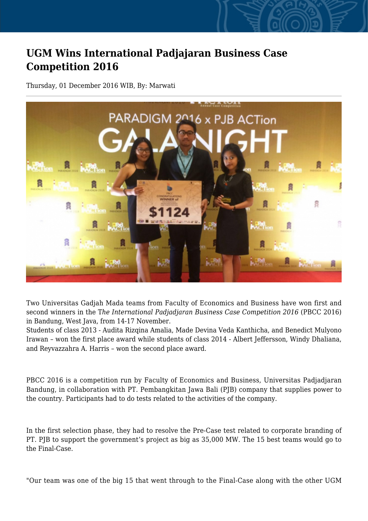## **UGM Wins International Padjajaran Business Case Competition 2016**

Thursday, 01 December 2016 WIB, By: Marwati



Two Universitas Gadjah Mada teams from Faculty of Economics and Business have won first and second winners in the T*he International Padjadjaran Business Case Competition 2016* (PBCC 2016) in Bandung, West Java, from 14-17 November.

Students of class 2013 - Audita Rizqina Amalia, Made Devina Veda Kanthicha, and Benedict Mulyono Irawan – won the first place award while students of class 2014 - Albert Jeffersson, Windy Dhaliana, and Reyvazzahra A. Harris – won the second place award.

PBCC 2016 is a competition run by Faculty of Economics and Business, Universitas Padjadjaran Bandung, in collaboration with PT. Pembangkitan Jawa Bali (PJB) company that supplies power to the country. Participants had to do tests related to the activities of the company.

In the first selection phase, they had to resolve the Pre-Case test related to corporate branding of PT. PJB to support the government's project as big as 35,000 MW. The 15 best teams would go to the Final-Case.

"Our team was one of the big 15 that went through to the Final-Case along with the other UGM